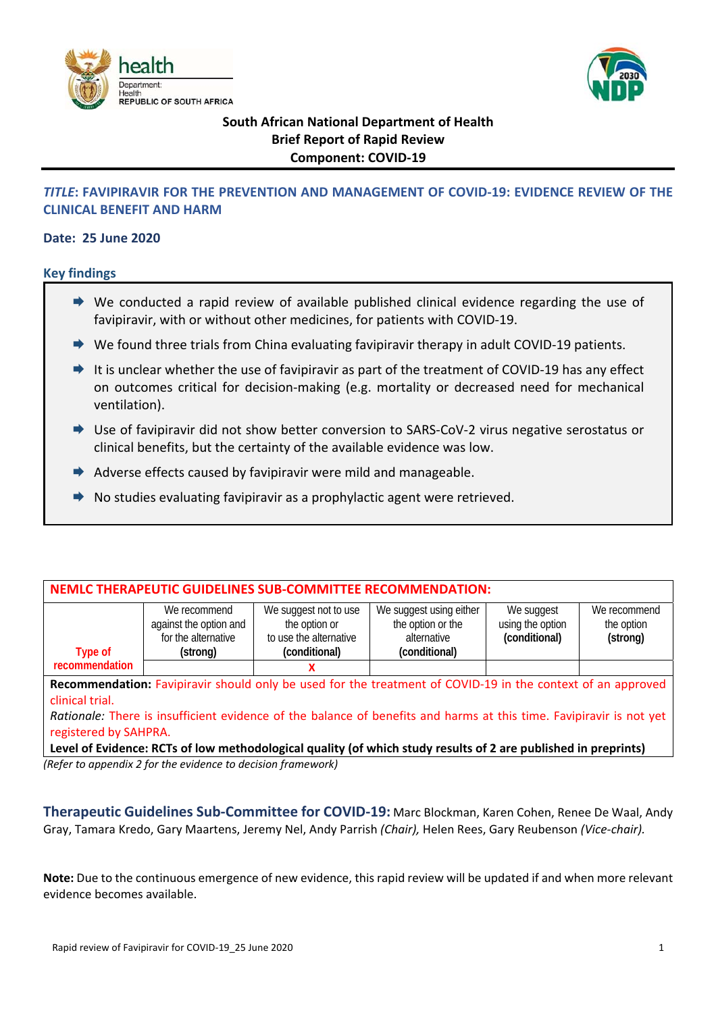



# **South African National Department of Health Brief Report of Rapid Review Component: COVID‐19**

# *TITLE***: FAVIPIRAVIR FOR THE PREVENTION AND MANAGEMENT OF COVID‐19: EVIDENCE REVIEW OF THE CLINICAL BENEFIT AND HARM**

## **Date: 25 June 2020**

## **Key findings**

- $\rightarrow$  We conducted a rapid review of available published clinical evidence regarding the use of favipiravir, with or without other medicines, for patients with COVID‐19.
- ◆ We found three trials from China evaluating favipiravir therapy in adult COVID-19 patients.
- $\rightarrow$  It is unclear whether the use of favipiravir as part of the treatment of COVID-19 has any effect on outcomes critical for decision‐making (e.g. mortality or decreased need for mechanical ventilation).  $\ddot{\phantom{0}}$
- ◆ Use of favipiravir did not show better conversion to SARS-CoV-2 virus negative serostatus or clinical benefits, but the certainty of the available evidence was low.
- $\rightarrow$  Adverse effects caused by favipiravir were mild and manageable.
- $\rightarrow$  No studies evaluating favipiravir as a prophylactic agent were retrieved.

| NEMLC THERAPEUTIC GUIDELINES SUB-COMMITTEE RECOMMENDATION:                                                                                                                                                                                            |                                                                                                                |                                                                                   |                                                                              |                                                 |                                        |
|-------------------------------------------------------------------------------------------------------------------------------------------------------------------------------------------------------------------------------------------------------|----------------------------------------------------------------------------------------------------------------|-----------------------------------------------------------------------------------|------------------------------------------------------------------------------|-------------------------------------------------|----------------------------------------|
| Type of                                                                                                                                                                                                                                               | We recommend<br>against the option and<br>for the alternative<br>(strong)                                      | We suggest not to use<br>the option or<br>to use the alternative<br>(conditional) | We suggest using either<br>the option or the<br>alternative<br>(conditional) | We suggest<br>using the option<br>(conditional) | We recommend<br>the option<br>(strong) |
| recommendation                                                                                                                                                                                                                                        |                                                                                                                |                                                                                   |                                                                              |                                                 |                                        |
| Recommendation: Favipiravir should only be used for the treatment of COVID-19 in the context of an approved<br>clinical trial.<br>Rationale: There is insufficient evidence of the balance of benefits and harms at this time. Favipiravir is not yet |                                                                                                                |                                                                                   |                                                                              |                                                 |                                        |
| registered by SAHPRA.                                                                                                                                                                                                                                 |                                                                                                                |                                                                                   |                                                                              |                                                 |                                        |
|                                                                                                                                                                                                                                                       | Level of Evidence: RCTs of low methodological quality (of which study results of 2 are published in preprints) |                                                                                   |                                                                              |                                                 |                                        |

*(Refer to appendix 2 for the evidence to decision framework)* 

**Therapeutic Guidelines Sub‐Committee for COVID‐19:** Marc Blockman, Karen Cohen, Renee De Waal, Andy Gray, Tamara Kredo, Gary Maartens, Jeremy Nel, Andy Parrish *(Chair),* Helen Rees, Gary Reubenson *(Vice‐chair).*

**Note:** Due to the continuous emergence of new evidence, this rapid review will be updated if and when more relevant evidence becomes available.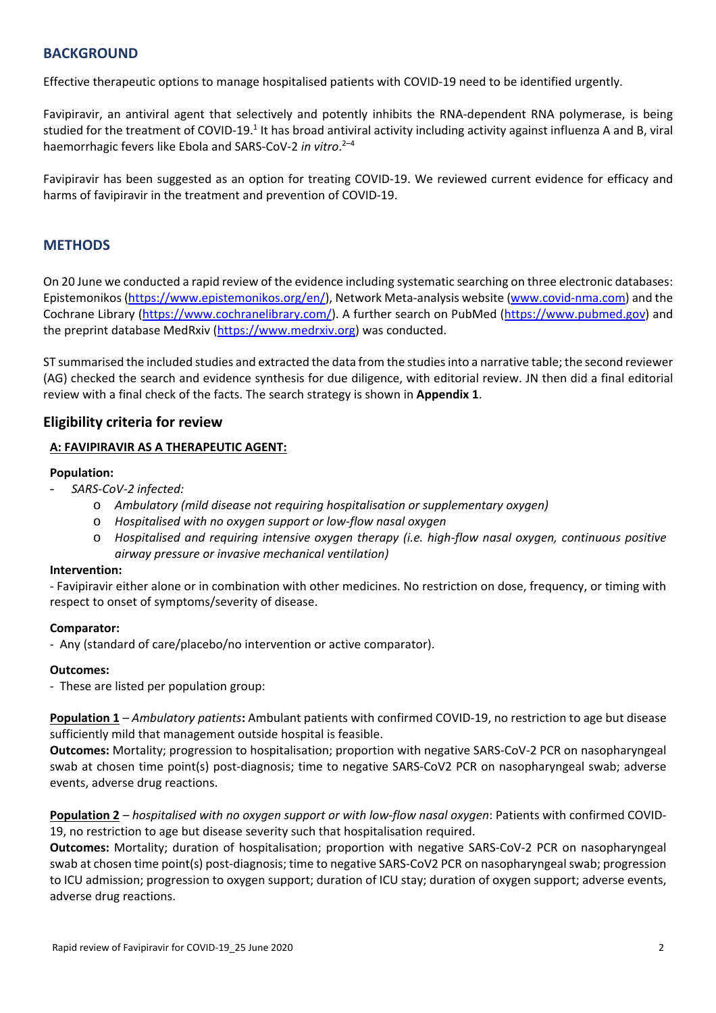## **BACKGROUND**

Effective therapeutic options to manage hospitalised patients with COVID‐19 need to be identified urgently.

Favipiravir, an antiviral agent that selectively and potently inhibits the RNA‐dependent RNA polymerase, is being studied for the treatment of COVID-19.<sup>1</sup> It has broad antiviral activity including activity against influenza A and B, viral haemorrhagic fevers like Ebola and SARS‐CoV‐2 *in vitro*. 2–4

Favipiravir has been suggested as an option for treating COVID-19. We reviewed current evidence for efficacy and harms of favipiravir in the treatment and prevention of COVID‐19.

# **METHODS**

On 20 June we conducted a rapid review of the evidence including systematic searching on three electronic databases: Epistemonikos (https://www.epistemonikos.org/en/), Network Meta-analysis website (www.covid-nma.com) and the Cochrane Library (https://www.cochranelibrary.com/). A further search on PubMed (https://www.pubmed.gov) and the preprint database MedRxiv (https://www.medrxiv.org) was conducted.

ST summarised the included studies and extracted the data from the studies into a narrative table; the second reviewer (AG) checked the search and evidence synthesis for due diligence, with editorial review. JN then did a final editorial review with a final check of the facts. The search strategy is shown in **Appendix 1**.

## **Eligibility criteria for review**

### **A: FAVIPIRAVIR AS A THERAPEUTIC AGENT:**

### **Population:**

- *SARS‐CoV‐2 infected:*
	- o *Ambulatory (mild disease not requiring hospitalisation or supplementary oxygen)*
	- o *Hospitalised with no oxygen support or low‐flow nasal oxygen*
	- o *Hospitalised and requiring intensive oxygen therapy (i.e. high‐flow nasal oxygen, continuous positive airway pressure or invasive mechanical ventilation)*

#### **Intervention:**

‐ Favipiravir either alone or in combination with other medicines. No restriction on dose, frequency, or timing with respect to onset of symptoms/severity of disease.

#### **Comparator:**

‐ Any (standard of care/placebo/no intervention or active comparator).

#### **Outcomes:**

‐ These are listed per population group:

**Population 1** *– Ambulatory patients***:** Ambulant patients with confirmed COVID‐19, no restriction to age but disease sufficiently mild that management outside hospital is feasible.

**Outcomes:** Mortality; progression to hospitalisation; proportion with negative SARS‐CoV‐2 PCR on nasopharyngeal swab at chosen time point(s) post-diagnosis; time to negative SARS-CoV2 PCR on nasopharyngeal swab; adverse events, adverse drug reactions.

**Population 2** *– hospitalised with no oxygen support or with low‐flow nasal oxygen*: Patients with confirmed COVID‐ 19, no restriction to age but disease severity such that hospitalisation required.

**Outcomes:** Mortality; duration of hospitalisation; proportion with negative SARS-CoV-2 PCR on nasopharyngeal swab at chosen time point(s) post‐diagnosis; time to negative SARS‐CoV2 PCR on nasopharyngeal swab; progression to ICU admission; progression to oxygen support; duration of ICU stay; duration of oxygen support; adverse events, adverse drug reactions.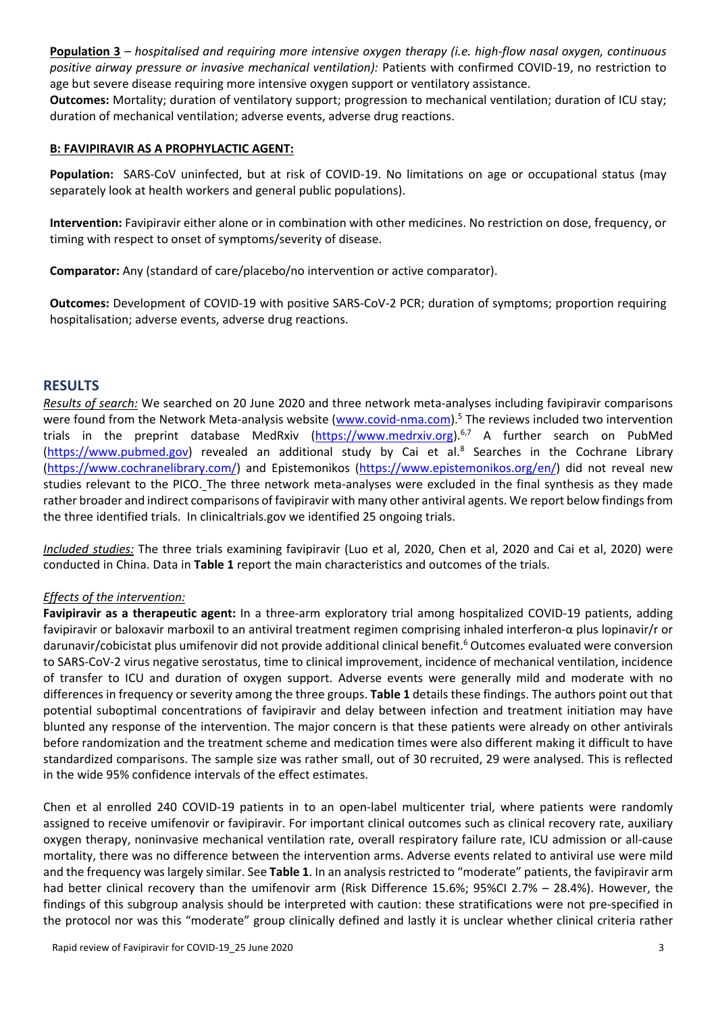**Population 3** *– hospitalised and requiring more intensive oxygen therapy (i.e. high‐flow nasal oxygen, continuous positive airway pressure or invasive mechanical ventilation):* Patients with confirmed COVID‐19, no restriction to age but severe disease requiring more intensive oxygen support or ventilatory assistance.

**Outcomes:** Mortality; duration of ventilatory support; progression to mechanical ventilation; duration of ICU stay; duration of mechanical ventilation; adverse events, adverse drug reactions.

### **B: FAVIPIRAVIR AS A PROPHYLACTIC AGENT:**

**Population:** SARS-CoV uninfected, but at risk of COVID-19. No limitations on age or occupational status (may separately look at health workers and general public populations).

**Intervention:** Favipiravir either alone or in combination with other medicines. No restriction on dose, frequency, or timing with respect to onset of symptoms/severity of disease.

**Comparator:** Any (standard of care/placebo/no intervention or active comparator).

**Outcomes:** Development of COVID‐19 with positive SARS‐CoV‐2 PCR; duration of symptoms; proportion requiring hospitalisation; adverse events, adverse drug reactions.

## **RESULTS**

*Results of search:* We searched on 20 June 2020 and three network meta‐analyses including favipiravir comparisons were found from the Network Meta-analysis website (www.covid-nma.com).<sup>5</sup> The reviews included two intervention trials in the preprint database MedRxiv (https://www.medrxiv.org).<sup>6,7</sup> A further search on PubMed (https://www.pubmed.gov) revealed an additional study by Cai et al.<sup>8</sup> Searches in the Cochrane Library (https://www.cochranelibrary.com/) and Epistemonikos (https://www.epistemonikos.org/en/) did not reveal new studies relevant to the PICO. The three network meta-analyses were excluded in the final synthesis as they made rather broader and indirect comparisons of favipiravir with many other antiviral agents. We report below findings from the three identified trials. In clinicaltrials.gov we identified 25 ongoing trials.

*Included studies:* The three trials examining favipiravir (Luo et al, 2020, Chen et al, 2020 and Cai et al, 2020) were conducted in China. Data in **Table 1** report the main characteristics and outcomes of the trials.

### *Effects of the intervention:*

**Favipiravir as a therapeutic agent:** In a three‐arm exploratory trial among hospitalized COVID‐19 patients, adding favipiravir or baloxavir marboxil to an antiviral treatment regimen comprising inhaled interferon‐α plus lopinavir/r or darunavir/cobicistat plus umifenovir did not provide additional clinical benefit.<sup>6</sup> Outcomes evaluated were conversion to SARS‐CoV‐2 virus negative serostatus, time to clinical improvement, incidence of mechanical ventilation, incidence of transfer to ICU and duration of oxygen support. Adverse events were generally mild and moderate with no differences in frequency or severity among the three groups. **Table 1** details these findings. The authors point out that potential suboptimal concentrations of favipiravir and delay between infection and treatment initiation may have blunted any response of the intervention. The major concern is that these patients were already on other antivirals before randomization and the treatment scheme and medication times were also different making it difficult to have standardized comparisons. The sample size was rather small, out of 30 recruited, 29 were analysed. This is reflected in the wide 95% confidence intervals of the effect estimates.

Chen et al enrolled 240 COVID-19 patients in to an open-label multicenter trial, where patients were randomly assigned to receive umifenovir or favipiravir. For important clinical outcomes such as clinical recovery rate, auxiliary oxygen therapy, noninvasive mechanical ventilation rate, overall respiratory failure rate, ICU admission or all‐cause mortality, there was no difference between the intervention arms. Adverse events related to antiviral use were mild and the frequency was largely similar. See **Table 1**. In an analysis restricted to "moderate" patients, the favipiravir arm had better clinical recovery than the umifenovir arm (Risk Difference 15.6%; 95%CI 2.7% - 28.4%). However, the findings of this subgroup analysis should be interpreted with caution: these stratifications were not pre-specified in the protocol nor was this "moderate" group clinically defined and lastly it is unclear whether clinical criteria rather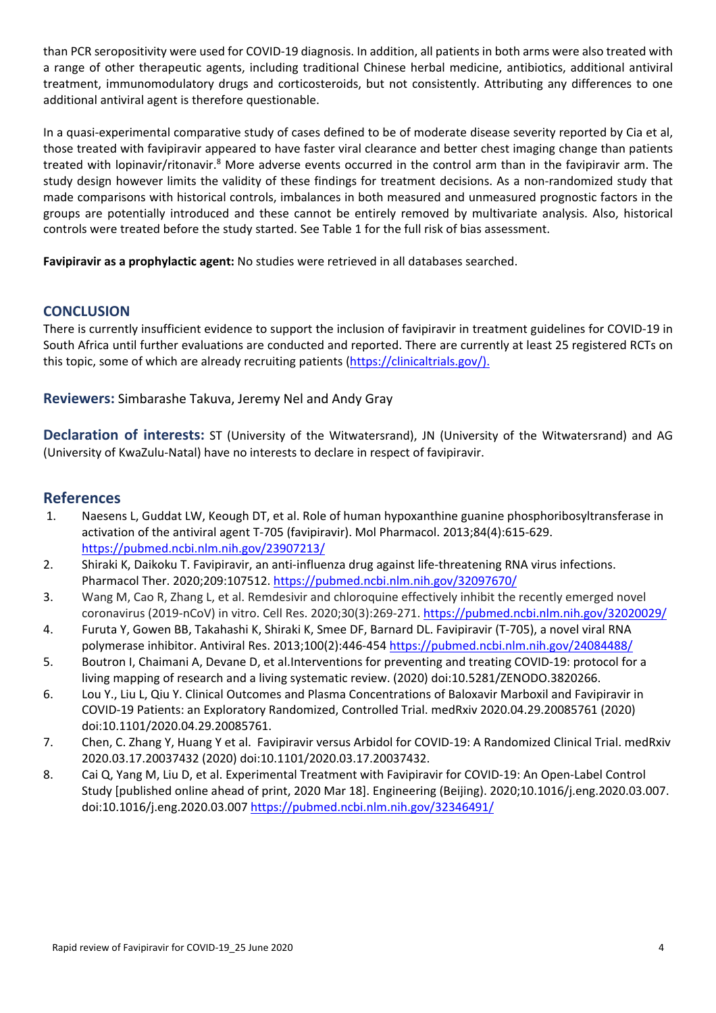than PCR seropositivity were used for COVID‐19 diagnosis. In addition, all patients in both arms were also treated with a range of other therapeutic agents, including traditional Chinese herbal medicine, antibiotics, additional antiviral treatment, immunomodulatory drugs and corticosteroids, but not consistently. Attributing any differences to one additional antiviral agent is therefore questionable.

In a quasi-experimental comparative study of cases defined to be of moderate disease severity reported by Cia et al, those treated with favipiravir appeared to have faster viral clearance and better chest imaging change than patients treated with lopinavir/ritonavir.<sup>8</sup> More adverse events occurred in the control arm than in the favipiravir arm. The study design however limits the validity of these findings for treatment decisions. As a non-randomized study that made comparisons with historical controls, imbalances in both measured and unmeasured prognostic factors in the groups are potentially introduced and these cannot be entirely removed by multivariate analysis. Also, historical controls were treated before the study started. See Table 1 for the full risk of bias assessment.

**Favipiravir as a prophylactic agent:** No studies were retrieved in all databases searched.

# **CONCLUSION**

There is currently insufficient evidence to support the inclusion of favipiravir in treatment guidelines for COVID‐19 in South Africa until further evaluations are conducted and reported. There are currently at least 25 registered RCTs on this topic, some of which are already recruiting patients (https://clinicaltrials.gov/).

**Reviewers:** Simbarashe Takuva, Jeremy Nel and Andy Gray

**Declaration of interests:** ST (University of the Witwatersrand), JN (University of the Witwatersrand) and AG (University of KwaZulu‐Natal) have no interests to declare in respect of favipiravir.

# **References**

- 1. Naesens L, Guddat LW, Keough DT, et al. Role of human hypoxanthine guanine phosphoribosyltransferase in activation of the antiviral agent T‐705 (favipiravir). Mol Pharmacol. 2013;84(4):615‐629. https://pubmed.ncbi.nlm.nih.gov/23907213/
- 2. Shiraki K, Daikoku T. Favipiravir, an anti-influenza drug against life-threatening RNA virus infections. Pharmacol Ther. 2020;209:107512. https://pubmed.ncbi.nlm.nih.gov/32097670/
- 3. Wang M, Cao R, Zhang L, et al. Remdesivir and chloroquine effectively inhibit the recently emerged novel coronavirus (2019‐nCoV) in vitro. Cell Res. 2020;30(3):269‐271. https://pubmed.ncbi.nlm.nih.gov/32020029/
- 4. Furuta Y, Gowen BB, Takahashi K, Shiraki K, Smee DF, Barnard DL. Favipiravir (T‐705), a novel viral RNA polymerase inhibitor. Antiviral Res. 2013;100(2):446‐454 https://pubmed.ncbi.nlm.nih.gov/24084488/
- 5. Boutron I, Chaimani A, Devane D, et al.Interventions for preventing and treating COVID‐19: protocol for a living mapping of research and a living systematic review. (2020) doi:10.5281/ZENODO.3820266.
- 6. Lou Y., Liu L, Qiu Y. Clinical Outcomes and Plasma Concentrations of Baloxavir Marboxil and Favipiravir in COVID‐19 Patients: an Exploratory Randomized, Controlled Trial. medRxiv 2020.04.29.20085761 (2020) doi:10.1101/2020.04.29.20085761.
- 7. Chen, C. Zhang Y, Huang Y et al. Favipiravir versus Arbidol for COVID‐19: A Randomized Clinical Trial. medRxiv 2020.03.17.20037432 (2020) doi:10.1101/2020.03.17.20037432.
- 8. Cai Q, Yang M, Liu D, et al. Experimental Treatment with Favipiravir for COVID-19: An Open-Label Control Study [published online ahead of print, 2020 Mar 18]. Engineering (Beijing). 2020;10.1016/j.eng.2020.03.007. doi:10.1016/j.eng.2020.03.007 https://pubmed.ncbi.nlm.nih.gov/32346491/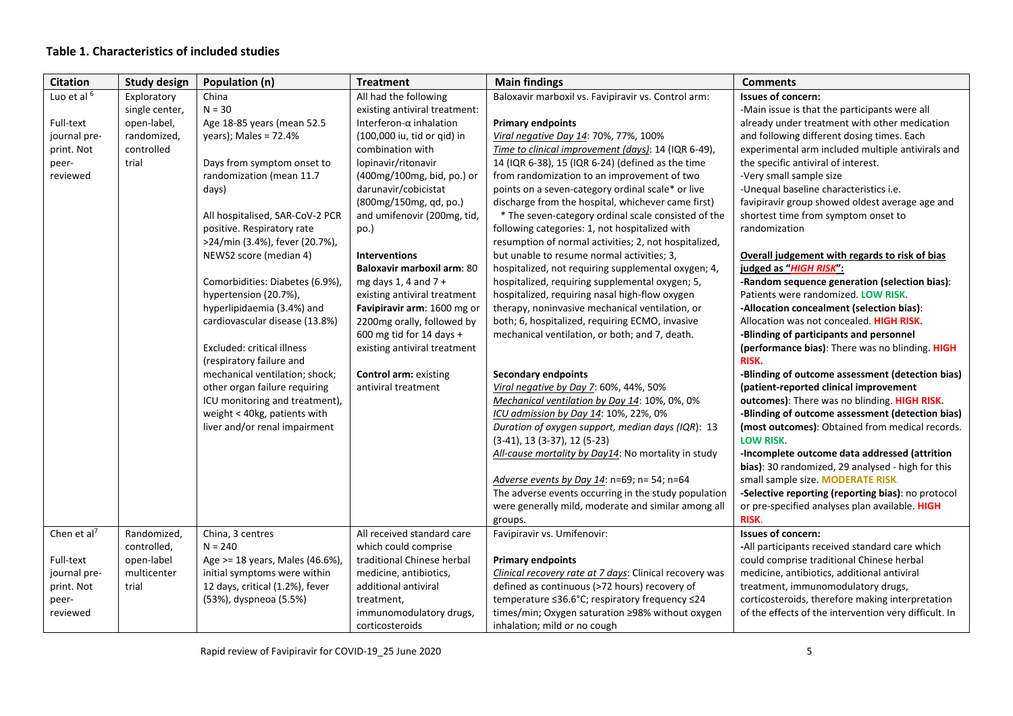# **Table 1. Characteristics of included studies**

| <b>Citation</b>         | <b>Study design</b> | Population (n)                    | <b>Treatment</b>                  | <b>Main findings</b>                                    | <b>Comments</b>                                       |
|-------------------------|---------------------|-----------------------------------|-----------------------------------|---------------------------------------------------------|-------------------------------------------------------|
| Luo et al 6             | Exploratory         | China                             | All had the following             | Baloxavir marboxil vs. Favipiravir vs. Control arm:     | <b>Issues of concern:</b>                             |
|                         | single center,      | $N = 30$                          | existing antiviral treatment:     |                                                         | -Main issue is that the participants were all         |
| Full-text               | open-label,         | Age 18-85 years (mean 52.5        | Interferon- $\alpha$ inhalation   | <b>Primary endpoints</b>                                | already under treatment with other medication         |
| journal pre-            | randomized,         | years); Males = $72.4%$           | (100,000 iu, tid or qid) in       | Viral negative Day 14: 70%, 77%, 100%                   | and following different dosing times. Each            |
| print. Not              | controlled          |                                   | combination with                  | Time to clinical improvement (days): 14 (IQR 6-49),     | experimental arm included multiple antivirals and     |
| peer-                   | trial               | Days from symptom onset to        | lopinavir/ritonavir               | 14 (IQR 6-38), 15 (IQR 6-24) (defined as the time       | the specific antiviral of interest.                   |
| reviewed                |                     | randomization (mean 11.7          | (400mg/100mg, bid, po.) or        | from randomization to an improvement of two             | -Very small sample size                               |
|                         |                     | days)                             | darunavir/cobicistat              | points on a seven-category ordinal scale* or live       | -Unequal baseline characteristics i.e.                |
|                         |                     |                                   | (800mg/150mg, qd, po.)            | discharge from the hospital, whichever came first)      | favipiravir group showed oldest average age and       |
|                         |                     | All hospitalised, SAR-CoV-2 PCR   | and umifenovir (200mg, tid,       | * The seven-category ordinal scale consisted of the     | shortest time from symptom onset to                   |
|                         |                     | positive. Respiratory rate        | po.)                              | following categories: 1, not hospitalized with          | randomization                                         |
|                         |                     | >24/min (3.4%), fever (20.7%),    |                                   | resumption of normal activities; 2, not hospitalized,   |                                                       |
|                         |                     | NEWS2 score (median 4)            | <b>Interventions</b>              | but unable to resume normal activities; 3,              | Overall judgement with regards to risk of bias        |
|                         |                     |                                   | <b>Baloxavir marboxil arm: 80</b> | hospitalized, not requiring supplemental oxygen; 4,     | judged as "HIGH RISK":                                |
|                         |                     | Comorbidities: Diabetes (6.9%),   | mg days 1, 4 and $7 +$            | hospitalized, requiring supplemental oxygen; 5,         | -Random sequence generation (selection bias):         |
|                         |                     | hypertension (20.7%),             | existing antiviral treatment      | hospitalized, requiring nasal high-flow oxygen          | Patients were randomized. LOW RISK.                   |
|                         |                     | hyperlipidaemia (3.4%) and        | Favipiravir arm: 1600 mg or       | therapy, noninvasive mechanical ventilation, or         | -Allocation concealment (selection bias):             |
|                         |                     | cardiovascular disease (13.8%)    | 2200mg orally, followed by        | both; 6, hospitalized, requiring ECMO, invasive         | Allocation was not concealed. HIGH RISK.              |
|                         |                     |                                   | 600 mg tid for 14 days +          | mechanical ventilation, or both; and 7, death.          | -Blinding of participants and personnel               |
|                         |                     | <b>Excluded: critical illness</b> | existing antiviral treatment      |                                                         | (performance bias): There was no blinding. HIGH       |
|                         |                     | (respiratory failure and          |                                   |                                                         | RISK.                                                 |
|                         |                     | mechanical ventilation; shock;    | <b>Control arm: existing</b>      | <b>Secondary endpoints</b>                              | -Blinding of outcome assessment (detection bias)      |
|                         |                     | other organ failure requiring     | antiviral treatment               | Viral negative by Day 7: 60%, 44%, 50%                  | (patient-reported clinical improvement                |
|                         |                     | ICU monitoring and treatment),    |                                   | Mechanical ventilation by Day 14: 10%, 0%, 0%           | outcomes): There was no blinding. HIGH RISK.          |
|                         |                     | weight < 40kg, patients with      |                                   | ICU admission by Day 14: 10%, 22%, 0%                   | -Blinding of outcome assessment (detection bias)      |
|                         |                     | liver and/or renal impairment     |                                   | Duration of oxygen support, median days (IQR): 13       | (most outcomes): Obtained from medical records.       |
|                         |                     |                                   |                                   | $(3-41)$ , 13 $(3-37)$ , 12 $(5-23)$                    | <b>LOW RISK.</b>                                      |
|                         |                     |                                   |                                   | All-cause mortality by Day14: No mortality in study     | -Incomplete outcome data addressed (attrition         |
|                         |                     |                                   |                                   |                                                         | bias): 30 randomized, 29 analysed - high for this     |
|                         |                     |                                   |                                   | Adverse events by Day 14: n=69; n= 54; n=64             | small sample size. MODERATE RISK.                     |
|                         |                     |                                   |                                   | The adverse events occurring in the study population    | -Selective reporting (reporting bias): no protocol    |
|                         |                     |                                   |                                   | were generally mild, moderate and similar among all     | or pre-specified analyses plan available. HIGH        |
|                         |                     |                                   |                                   | groups.                                                 | RISK.                                                 |
| Chen et al <sup>7</sup> | Randomized,         | China, 3 centres                  | All received standard care        | Favipiravir vs. Umifenovir:                             | <b>Issues of concern:</b>                             |
|                         | controlled,         | $N = 240$                         | which could comprise              |                                                         | -All participants received standard care which        |
| Full-text               | open-label          | Age >= 18 years, Males (46.6%),   | traditional Chinese herbal        | <b>Primary endpoints</b>                                | could comprise traditional Chinese herbal             |
| journal pre-            | multicenter         | initial symptoms were within      | medicine, antibiotics,            | Clinical recovery rate at 7 days: Clinical recovery was | medicine, antibiotics, additional antiviral           |
| print. Not              | trial               | 12 days, critical (1.2%), fever   | additional antiviral              | defined as continuous (>72 hours) recovery of           | treatment, immunomodulatory drugs,                    |
| peer-                   |                     | (53%), dyspneoa (5.5%)            | treatment,                        | temperature ≤36.6°C; respiratory frequency ≤24          | corticosteroids, therefore making interpretation      |
| reviewed                |                     |                                   | immunomodulatory drugs,           | times/min; Oxygen saturation ≥98% without oxygen        | of the effects of the intervention very difficult. In |
|                         |                     |                                   | corticosteroids                   | inhalation; mild or no cough                            |                                                       |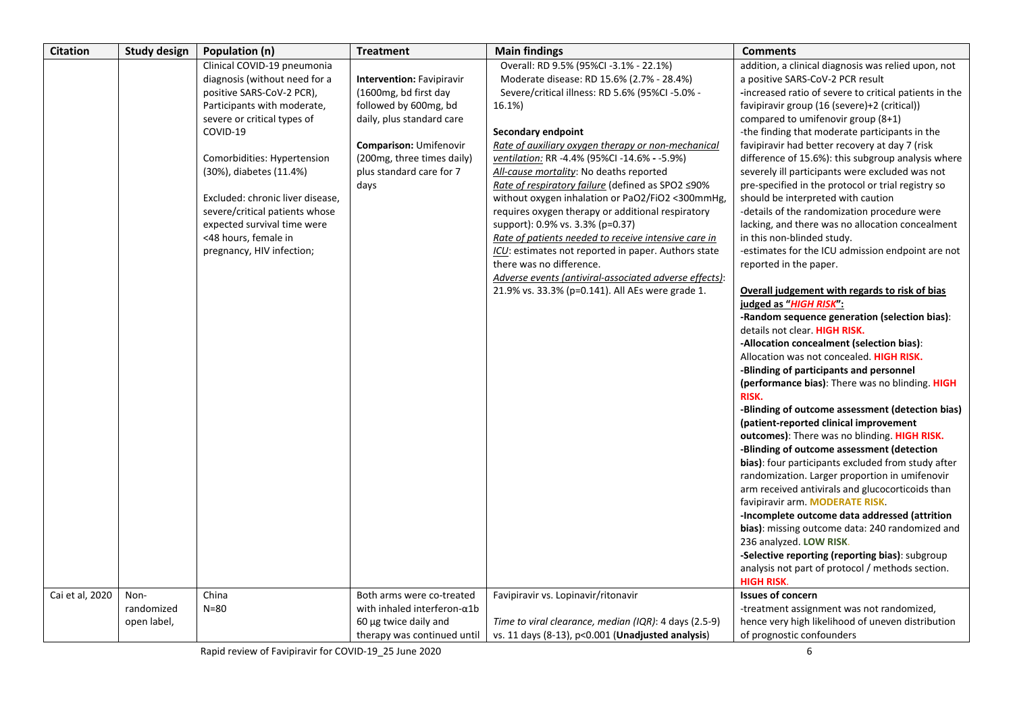| <b>Citation</b> | <b>Study design</b>               | Population (n)                                                                                                                                                                                                                                                                                                                                                                          | <b>Treatment</b>                                                                                                                                                                                                   | <b>Main findings</b>                                                                                                                                                                                                                                                                                                                                                                                                                                                                                                                                                                                                                                                                                                                                                               | <b>Comments</b>                                                                                                                                                                                                                                                                                                                                                                                                                                                                                                                                                                                                                                                                                                                                                                                                                                                                                                                                                                                                                                                                                                                                                                                                                                                                                                                                                                                                                             |
|-----------------|-----------------------------------|-----------------------------------------------------------------------------------------------------------------------------------------------------------------------------------------------------------------------------------------------------------------------------------------------------------------------------------------------------------------------------------------|--------------------------------------------------------------------------------------------------------------------------------------------------------------------------------------------------------------------|------------------------------------------------------------------------------------------------------------------------------------------------------------------------------------------------------------------------------------------------------------------------------------------------------------------------------------------------------------------------------------------------------------------------------------------------------------------------------------------------------------------------------------------------------------------------------------------------------------------------------------------------------------------------------------------------------------------------------------------------------------------------------------|---------------------------------------------------------------------------------------------------------------------------------------------------------------------------------------------------------------------------------------------------------------------------------------------------------------------------------------------------------------------------------------------------------------------------------------------------------------------------------------------------------------------------------------------------------------------------------------------------------------------------------------------------------------------------------------------------------------------------------------------------------------------------------------------------------------------------------------------------------------------------------------------------------------------------------------------------------------------------------------------------------------------------------------------------------------------------------------------------------------------------------------------------------------------------------------------------------------------------------------------------------------------------------------------------------------------------------------------------------------------------------------------------------------------------------------------|
|                 |                                   | Clinical COVID-19 pneumonia<br>diagnosis (without need for a<br>positive SARS-CoV-2 PCR),<br>Participants with moderate,<br>severe or critical types of<br>COVID-19<br>Comorbidities: Hypertension<br>(30%), diabetes (11.4%)<br>Excluded: chronic liver disease,<br>severe/critical patients whose<br>expected survival time were<br><48 hours, female in<br>pregnancy, HIV infection; | <b>Intervention: Favipiravir</b><br>(1600mg, bd first day<br>followed by 600mg, bd<br>daily, plus standard care<br><b>Comparison: Umifenovir</b><br>(200mg, three times daily)<br>plus standard care for 7<br>days | Overall: RD 9.5% (95%CI -3.1% - 22.1%)<br>Moderate disease: RD 15.6% (2.7% - 28.4%)<br>Severe/critical illness: RD 5.6% (95%Cl -5.0% -<br>16.1%)<br>Secondary endpoint<br>Rate of auxiliary oxygen therapy or non-mechanical<br>ventilation: RR -4.4% (95%Cl -14.6% - -5.9%)<br>All-cause mortality: No deaths reported<br>Rate of respiratory failure (defined as SPO2 ≤90%<br>without oxygen inhalation or PaO2/FiO2 <300mmHg,<br>requires oxygen therapy or additional respiratory<br>support): 0.9% vs. 3.3% (p=0.37)<br>Rate of patients needed to receive intensive care in<br>ICU: estimates not reported in paper. Authors state<br>there was no difference.<br>Adverse events (antiviral-associated adverse effects):<br>21.9% vs. 33.3% (p=0.141). All AEs were grade 1. | addition, a clinical diagnosis was relied upon, not<br>a positive SARS-CoV-2 PCR result<br>-increased ratio of severe to critical patients in the<br>favipiravir group (16 (severe)+2 (critical))<br>compared to umifenovir group (8+1)<br>-the finding that moderate participants in the<br>favipiravir had better recovery at day 7 (risk<br>difference of 15.6%): this subgroup analysis where<br>severely ill participants were excluded was not<br>pre-specified in the protocol or trial registry so<br>should be interpreted with caution<br>-details of the randomization procedure were<br>lacking, and there was no allocation concealment<br>in this non-blinded study.<br>-estimates for the ICU admission endpoint are not<br>reported in the paper.<br>Overall judgement with regards to risk of bias<br>judged as "HIGH RISK":<br>-Random sequence generation (selection bias):<br>details not clear. HIGH RISK.<br>-Allocation concealment (selection bias):<br>Allocation was not concealed. HIGH RISK.<br>-Blinding of participants and personnel<br>(performance bias): There was no blinding. HIGH<br>RISK.<br>-Blinding of outcome assessment (detection bias)<br>(patient-reported clinical improvement<br>outcomes): There was no blinding. HIGH RISK.<br>-Blinding of outcome assessment (detection<br><b>bias</b> ): four participants excluded from study after<br>randomization. Larger proportion in umifenovir |
|                 |                                   |                                                                                                                                                                                                                                                                                                                                                                                         |                                                                                                                                                                                                                    |                                                                                                                                                                                                                                                                                                                                                                                                                                                                                                                                                                                                                                                                                                                                                                                    | arm received antivirals and glucocorticoids than<br>favipiravir arm. MODERATE RISK.                                                                                                                                                                                                                                                                                                                                                                                                                                                                                                                                                                                                                                                                                                                                                                                                                                                                                                                                                                                                                                                                                                                                                                                                                                                                                                                                                         |
|                 |                                   |                                                                                                                                                                                                                                                                                                                                                                                         |                                                                                                                                                                                                                    |                                                                                                                                                                                                                                                                                                                                                                                                                                                                                                                                                                                                                                                                                                                                                                                    | -Incomplete outcome data addressed (attrition<br>bias): missing outcome data: 240 randomized and<br>236 analyzed. LOW RISK.<br>-Selective reporting (reporting bias): subgroup<br>analysis not part of protocol / methods section.<br><b>HIGH RISK.</b>                                                                                                                                                                                                                                                                                                                                                                                                                                                                                                                                                                                                                                                                                                                                                                                                                                                                                                                                                                                                                                                                                                                                                                                     |
| Cai et al, 2020 | Non-<br>randomized<br>open label, | China<br>$N = 80$                                                                                                                                                                                                                                                                                                                                                                       | Both arms were co-treated<br>with inhaled interferon- $\alpha$ 1b<br>60 µg twice daily and<br>therapy was continued until                                                                                          | Favipiravir vs. Lopinavir/ritonavir<br>Time to viral clearance, median (IQR): 4 days (2.5-9)<br>vs. 11 days $(8-13)$ , $p<0.001$ (Unadjusted analysis)                                                                                                                                                                                                                                                                                                                                                                                                                                                                                                                                                                                                                             | <b>Issues of concern</b><br>-treatment assignment was not randomized,<br>hence very high likelihood of uneven distribution<br>of prognostic confounders                                                                                                                                                                                                                                                                                                                                                                                                                                                                                                                                                                                                                                                                                                                                                                                                                                                                                                                                                                                                                                                                                                                                                                                                                                                                                     |

Rapid review of Favipiravir for COVID‐19\_25 June 2020 6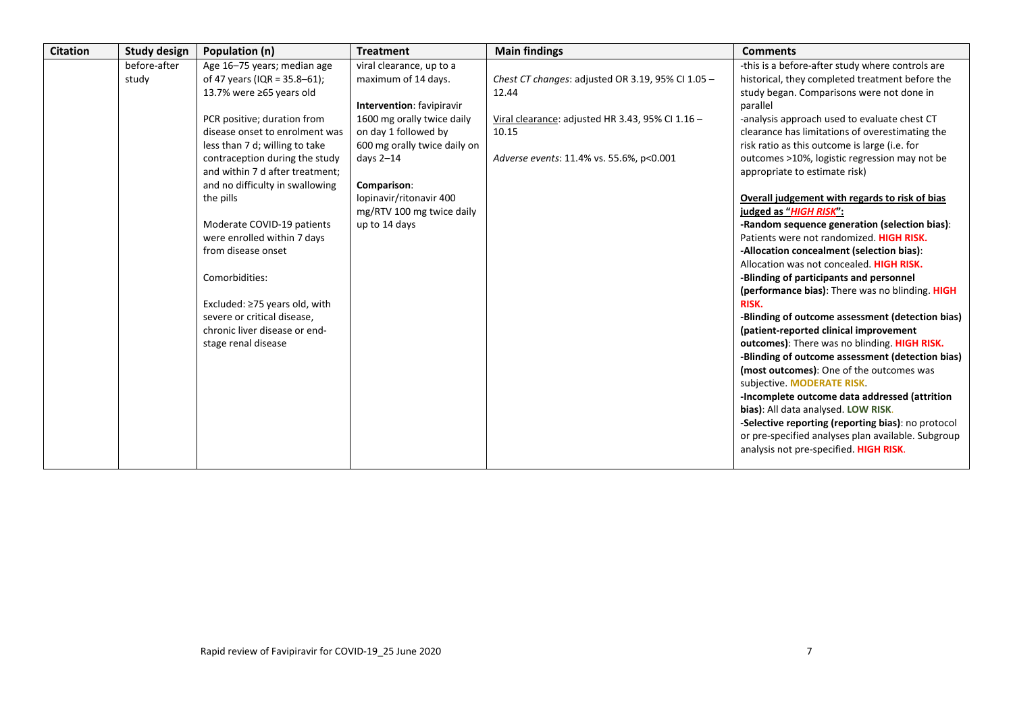| <b>Citation</b> | <b>Study design</b>   | Population (n)                                                                                                                                                                                                                                                                                                                                                                                                                                                                                                                                          | <b>Treatment</b>                                                                                                                                                                                                                                                                 | <b>Main findings</b>                                                                                                                                                | <b>Comments</b>                                                                                                                                                                                                                                                                                                                                                                                                                                                                                                                                                                                                                                                                                                                                                                                                                                                                                                                                                                                                                                                                                                                                                                                                                                                                                              |
|-----------------|-----------------------|---------------------------------------------------------------------------------------------------------------------------------------------------------------------------------------------------------------------------------------------------------------------------------------------------------------------------------------------------------------------------------------------------------------------------------------------------------------------------------------------------------------------------------------------------------|----------------------------------------------------------------------------------------------------------------------------------------------------------------------------------------------------------------------------------------------------------------------------------|---------------------------------------------------------------------------------------------------------------------------------------------------------------------|--------------------------------------------------------------------------------------------------------------------------------------------------------------------------------------------------------------------------------------------------------------------------------------------------------------------------------------------------------------------------------------------------------------------------------------------------------------------------------------------------------------------------------------------------------------------------------------------------------------------------------------------------------------------------------------------------------------------------------------------------------------------------------------------------------------------------------------------------------------------------------------------------------------------------------------------------------------------------------------------------------------------------------------------------------------------------------------------------------------------------------------------------------------------------------------------------------------------------------------------------------------------------------------------------------------|
|                 | before-after<br>study | Age 16-75 years; median age<br>of 47 years (IQR = $35.8 - 61$ );<br>13.7% were ≥65 years old<br>PCR positive; duration from<br>disease onset to enrolment was<br>less than 7 d; willing to take<br>contraception during the study<br>and within 7 d after treatment;<br>and no difficulty in swallowing<br>the pills<br>Moderate COVID-19 patients<br>were enrolled within 7 days<br>from disease onset<br>Comorbidities:<br>Excluded: $\geq$ 75 years old, with<br>severe or critical disease,<br>chronic liver disease or end-<br>stage renal disease | viral clearance, up to a<br>maximum of 14 days.<br><b>Intervention:</b> favipiravir<br>1600 mg orally twice daily<br>on day 1 followed by<br>600 mg orally twice daily on<br>days $2-14$<br>Comparison:<br>lopinavir/ritonavir 400<br>mg/RTV 100 mg twice daily<br>up to 14 days | Chest CT changes: adjusted OR 3.19, 95% CI 1.05 -<br>12.44<br>Viral clearance: adjusted HR 3.43, 95% CI 1.16 -<br>10.15<br>Adverse events: 11.4% vs. 55.6%, p<0.001 | -this is a before-after study where controls are<br>historical, they completed treatment before the<br>study began. Comparisons were not done in<br>parallel<br>-analysis approach used to evaluate chest CT<br>clearance has limitations of overestimating the<br>risk ratio as this outcome is large (i.e. for<br>outcomes >10%, logistic regression may not be<br>appropriate to estimate risk)<br>Overall judgement with regards to risk of bias<br>judged as "HIGH RISK":<br>-Random sequence generation (selection bias):<br>Patients were not randomized. HIGH RISK.<br>-Allocation concealment (selection bias):<br>Allocation was not concealed. HIGH RISK.<br>-Blinding of participants and personnel<br>(performance bias): There was no blinding. HIGH<br><b>RISK.</b><br>-Blinding of outcome assessment (detection bias)<br>(patient-reported clinical improvement<br>outcomes): There was no blinding. HIGH RISK.<br>-Blinding of outcome assessment (detection bias)<br>(most outcomes): One of the outcomes was<br>subjective. MODERATE RISK.<br>-Incomplete outcome data addressed (attrition<br>bias): All data analysed. LOW RISK.<br>-Selective reporting (reporting bias): no protocol<br>or pre-specified analyses plan available. Subgroup<br>analysis not pre-specified. HIGH RISK. |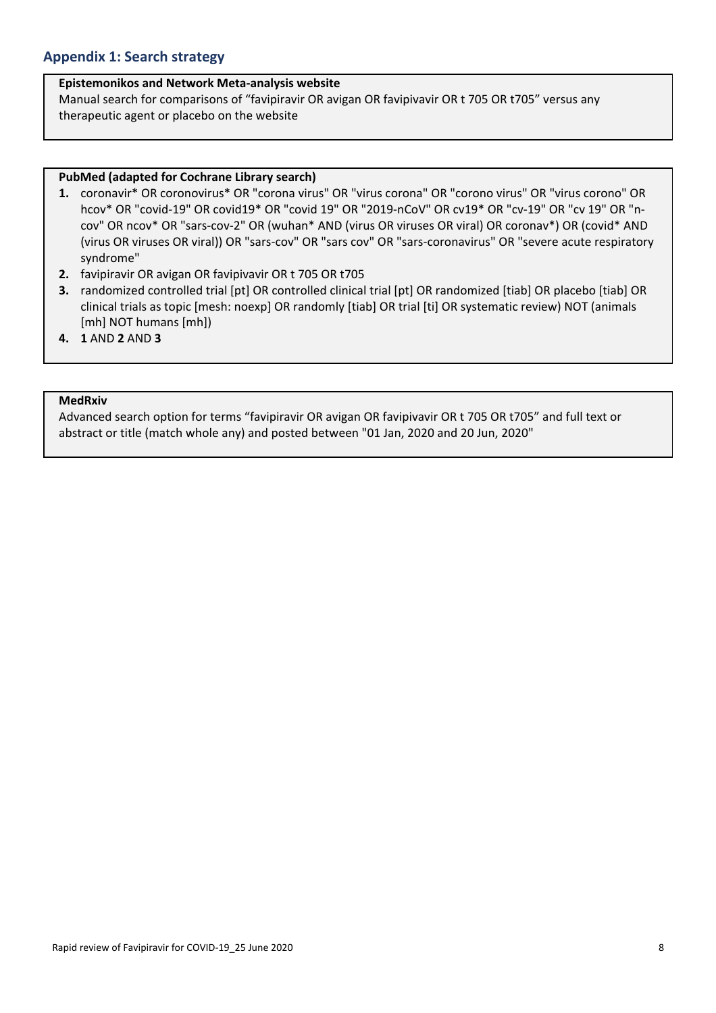# **Appendix 1: Search strategy**

### **Epistemonikos and Network Meta‐analysis website**

Manual search for comparisons of "favipiravir OR avigan OR favipivavir OR t 705 OR t705" versus any therapeutic agent or placebo on the website

### **PubMed (adapted for Cochrane Library search)**

- **1.** coronavir\* OR coronovirus\* OR "corona virus" OR "virus corona" OR "corono virus" OR "virus corono" OR hcov\* OR "covid-19" OR covid19\* OR "covid 19" OR "2019-nCoV" OR cv19\* OR "cv-19" OR "cv 19" OR "ncov" OR ncov\* OR "sars‐cov‐2" OR (wuhan\* AND (virus OR viruses OR viral) OR coronav\*) OR (covid\* AND (virus OR viruses OR viral)) OR "sars‐cov" OR "sars cov" OR "sars‐coronavirus" OR "severe acute respiratory syndrome"
- **2.** favipiravir OR avigan OR favipivavir OR t 705 OR t705
- **3.** randomized controlled trial [pt] OR controlled clinical trial [pt] OR randomized [tiab] OR placebo [tiab] OR clinical trials as topic [mesh: noexp] OR randomly [tiab] OR trial [ti] OR systematic review) NOT (animals [mh] NOT humans [mh])
- **4. 1** AND **2** AND **3**

## **MedRxiv**

Advanced search option for terms "favipiravir OR avigan OR favipivavir OR t 705 OR t705" and full text or abstract or title (match whole any) and posted between "01 Jan, 2020 and 20 Jun, 2020"